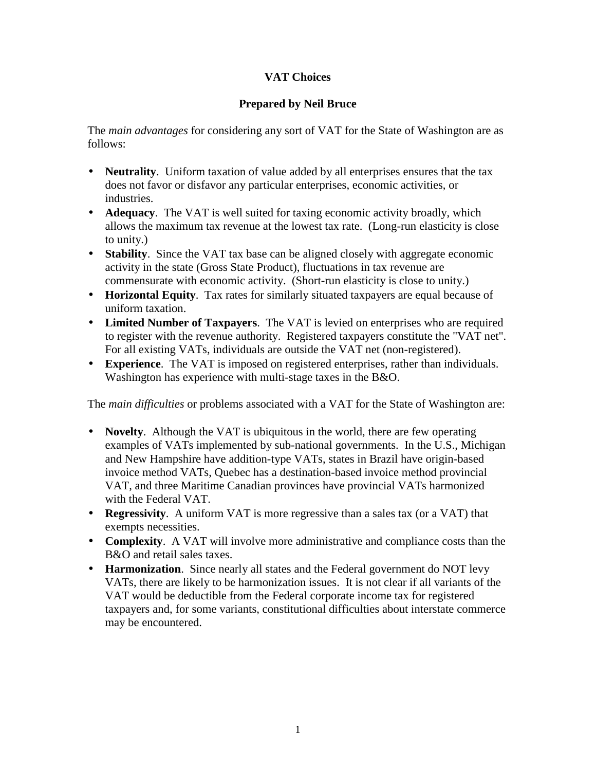## **VAT Choices**

## **Prepared by Neil Bruce**

The *main advantages* for considering any sort of VAT for the State of Washington are as follows:

- **Neutrality**. Uniform taxation of value added by all enterprises ensures that the tax does not favor or disfavor any particular enterprises, economic activities, or industries.
- **Adequacy**. The VAT is well suited for taxing economic activity broadly, which allows the maximum tax revenue at the lowest tax rate. (Long-run elasticity is close to unity.)
- **Stability**. Since the VAT tax base can be aligned closely with aggregate economic activity in the state (Gross State Product), fluctuations in tax revenue are commensurate with economic activity. (Short-run elasticity is close to unity.)
- **Horizontal Equity**. Tax rates for similarly situated taxpayers are equal because of uniform taxation.
- **Limited Number of Taxpayers**. The VAT is levied on enterprises who are required to register with the revenue authority. Registered taxpayers constitute the "VAT net". For all existing VATs, individuals are outside the VAT net (non-registered).
- **Experience**. The VAT is imposed on registered enterprises, rather than individuals. Washington has experience with multi-stage taxes in the B&O.

The *main difficulties* or problems associated with a VAT for the State of Washington are:

- **Novelty**. Although the VAT is ubiquitous in the world, there are few operating examples of VATs implemented by sub-national governments. In the U.S., Michigan and New Hampshire have addition-type VATs, states in Brazil have origin-based invoice method VATs, Quebec has a destination-based invoice method provincial VAT, and three Maritime Canadian provinces have provincial VATs harmonized with the Federal VAT.
- **Regressivity**. A uniform VAT is more regressive than a sales tax (or a VAT) that exempts necessities.
- **Complexity**. A VAT will involve more administrative and compliance costs than the B&O and retail sales taxes.
- **Harmonization**. Since nearly all states and the Federal government do NOT levy VATs, there are likely to be harmonization issues. It is not clear if all variants of the VAT would be deductible from the Federal corporate income tax for registered taxpayers and, for some variants, constitutional difficulties about interstate commerce may be encountered.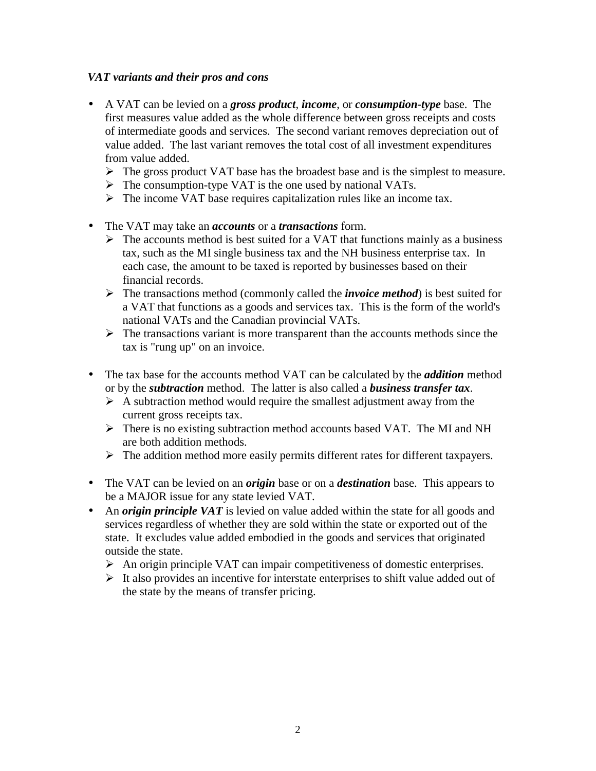## *VAT variants and their pros and cons*

- A VAT can be levied on a *gross product*, *income*, or *consumption-type* base. The first measures value added as the whole difference between gross receipts and costs of intermediate goods and services. The second variant removes depreciation out of value added. The last variant removes the total cost of all investment expenditures from value added.
	- $\triangleright$  The gross product VAT base has the broadest base and is the simplest to measure.
	- $\triangleright$  The consumption-type VAT is the one used by national VATs.
	- $\triangleright$  The income VAT base requires capitalization rules like an income tax.
- The VAT may take an *accounts* or a *transactions* form.
	- $\triangleright$  The accounts method is best suited for a VAT that functions mainly as a business tax, such as the MI single business tax and the NH business enterprise tax. In each case, the amount to be taxed is reported by businesses based on their financial records.
	- ! The transactions method (commonly called the *invoice method*) is best suited for a VAT that functions as a goods and services tax. This is the form of the world's national VATs and the Canadian provincial VATs.
	- $\triangleright$  The transactions variant is more transparent than the accounts methods since the tax is "rung up" on an invoice.
- The tax base for the accounts method VAT can be calculated by the *addition* method or by the *subtraction* method. The latter is also called a *business transfer tax*.
	- $\triangleright$  A subtraction method would require the smallest adjustment away from the current gross receipts tax.
	- $\triangleright$  There is no existing subtraction method accounts based VAT. The MI and NH are both addition methods.
	- $\triangleright$  The addition method more easily permits different rates for different taxpayers.
- The VAT can be levied on an *origin* base or on a *destination* base. This appears to be a MAJOR issue for any state levied VAT.
- An *origin principle VAT* is levied on value added within the state for all goods and services regardless of whether they are sold within the state or exported out of the state. It excludes value added embodied in the goods and services that originated outside the state.
	- $\triangleright$  An origin principle VAT can impair competitiveness of domestic enterprises.
	- $\triangleright$  It also provides an incentive for interstate enterprises to shift value added out of the state by the means of transfer pricing.